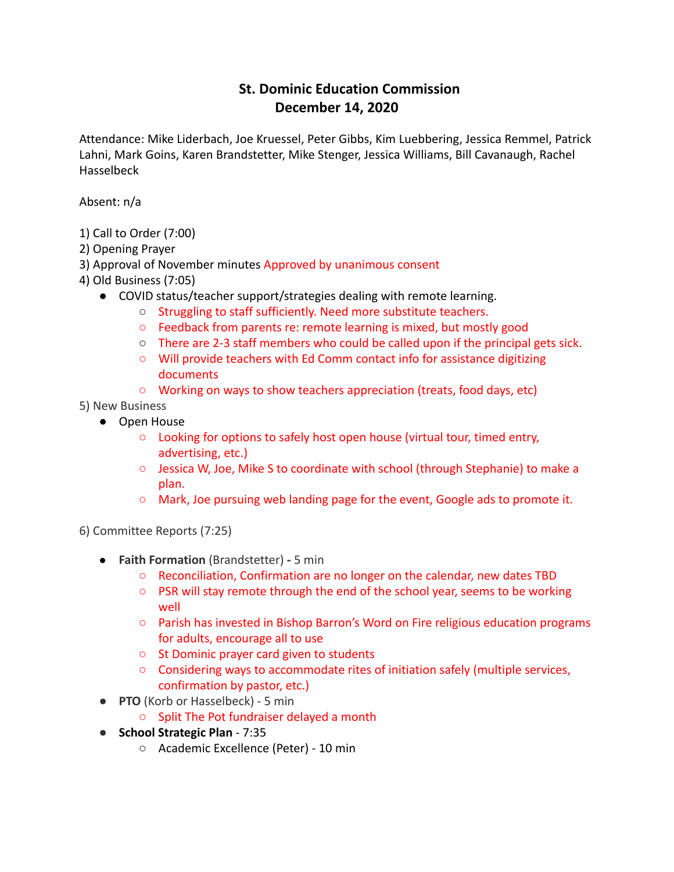## **St. Dominic Education Commission December 14, 2020**

Attendance: Mike Liderbach, Joe Kruessel, Peter Gibbs, Kim Luebbering, Jessica Remmel, Patrick Lahni, Mark Goins, Karen Brandstetter, Mike Stenger, Jessica Williams, Bill Cavanaugh, Rachel Hasselbeck

Absent: n/a

- 1) Call to Order (7:00)
- 2) Opening Prayer
- 3) Approval of November minutes Approved by unanimous consent
- 4) Old Business (7:05)
	- COVID status/teacher support/strategies dealing with remote learning.
		- Struggling to staff sufficiently. Need more substitute teachers.
		- Feedback from parents re: remote learning is mixed, but mostly good
		- $\circ$  There are 2-3 staff members who could be called upon if the principal gets sick.
		- Will provide teachers with Ed Comm contact info for assistance digitizing documents
		- Working on ways to show teachers appreciation (treats, food days, etc)
- 5) New Business
	- Open House
		- Looking for options to safely host open house (virtual tour, timed entry, advertising, etc.)
		- Jessica W, Joe, Mike S to coordinate with school (through Stephanie) to make a plan.
		- $\circ$  Mark, Joe pursuing web landing page for the event, Google ads to promote it.

6) Committee Reports (7:25)

- **Faith Formation** (Brandstetter) **-** 5 min
	- Reconciliation, Confirmation are no longer on the calendar, new dates TBD
	- PSR will stay remote through the end of the school year, seems to be working well
	- Parish has invested in Bishop Barron's Word on Fire religious education programs for adults, encourage all to use
	- St Dominic prayer card given to students
	- Considering ways to accommodate rites of initiation safely (multiple services, confirmation by pastor, etc.)
- **PTO** (Korb or Hasselbeck) 5 min
	- Split The Pot fundraiser delayed a month
- **School Strategic Plan** 7:35
	- Academic Excellence (Peter) 10 min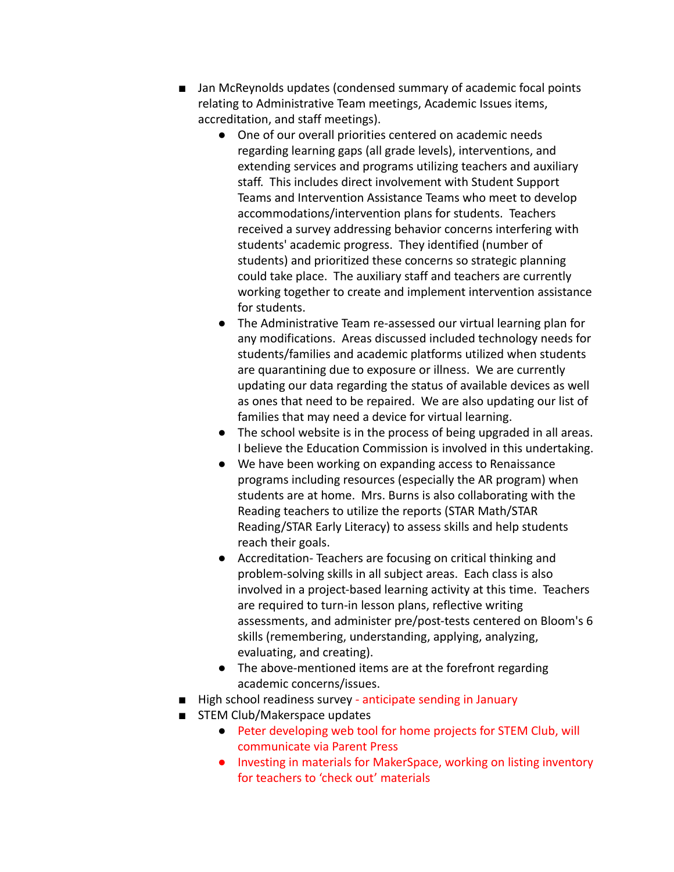- Jan McReynolds updates (condensed summary of academic focal points relating to Administrative Team meetings, Academic Issues items, accreditation, and staff meetings).
	- One of our overall priorities centered on academic needs regarding learning gaps (all grade levels), interventions, and extending services and programs utilizing teachers and auxiliary staff. This includes direct involvement with Student Support Teams and Intervention Assistance Teams who meet to develop accommodations/intervention plans for students. Teachers received a survey addressing behavior concerns interfering with students' academic progress. They identified (number of students) and prioritized these concerns so strategic planning could take place. The auxiliary staff and teachers are currently working together to create and implement intervention assistance for students.
	- The Administrative Team re-assessed our virtual learning plan for any modifications. Areas discussed included technology needs for students/families and academic platforms utilized when students are quarantining due to exposure or illness. We are currently updating our data regarding the status of available devices as well as ones that need to be repaired. We are also updating our list of families that may need a device for virtual learning.
	- The school website is in the process of being upgraded in all areas. I believe the Education Commission is involved in this undertaking.
	- We have been working on expanding access to Renaissance programs including resources (especially the AR program) when students are at home. Mrs. Burns is also collaborating with the Reading teachers to utilize the reports (STAR Math/STAR Reading/STAR Early Literacy) to assess skills and help students reach their goals.
	- Accreditation- Teachers are focusing on critical thinking and problem-solving skills in all subject areas. Each class is also involved in a project-based learning activity at this time. Teachers are required to turn-in lesson plans, reflective writing assessments, and administer pre/post-tests centered on Bloom's 6 skills (remembering, understanding, applying, analyzing, evaluating, and creating).
	- The above-mentioned items are at the forefront regarding academic concerns/issues.
- High school readiness survey anticipate sending in January
- STEM Club/Makerspace updates
	- Peter developing web tool for home projects for STEM Club, will communicate via Parent Press
	- Investing in materials for MakerSpace, working on listing inventory for teachers to 'check out' materials